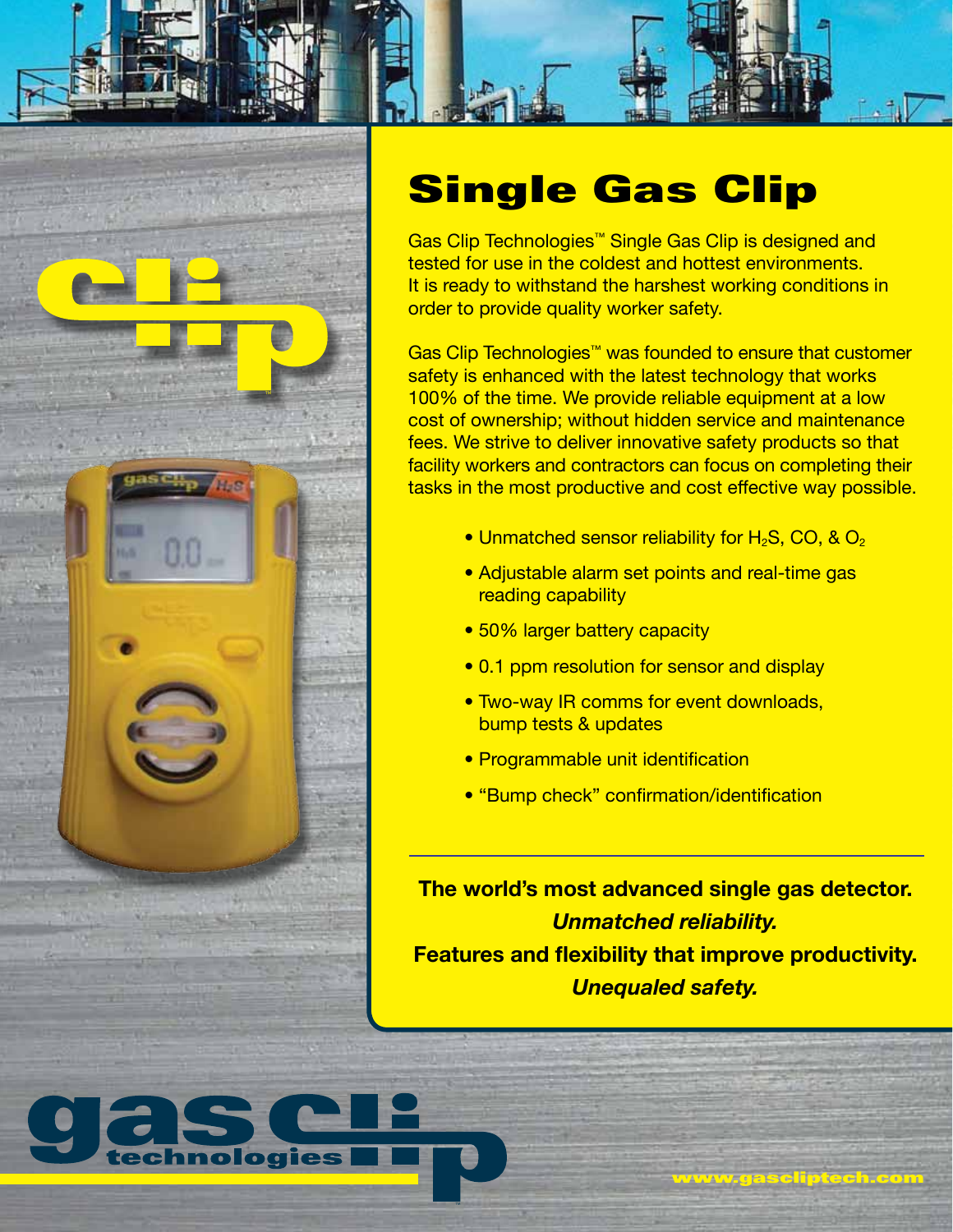

## Single Gas Clip

Gas Clip Technologies™ Single Gas Clip is designed and tested for use in the coldest and hottest environments. It is ready to withstand the harshest working conditions in order to provide quality worker safety.

Gas Clip Technologies™ was founded to ensure that customer safety is enhanced with the latest technology that works 100% of the time. We provide reliable equipment at a low cost of ownership; without hidden service and maintenance fees. We strive to deliver innovative safety products so that facility workers and contractors can focus on completing their tasks in the most productive and cost effective way possible.

- Unmatched sensor reliability for  $H_2S$ , CO, & O<sub>2</sub>
- Adjustable alarm set points and real-time gas reading capability
- 50% larger battery capacity
- 0.1 ppm resolution for sensor and display
- Two-way IR comms for event downloads, bump tests & updates
- Programmable unit identification

TM

• "Bump check" confirmation/identification

**The world's most advanced single gas detector.**  *Unmatched reliability.*  **Features and flexibility that improve productivity.**  *Unequaled safety.*

www.gascliptech.com